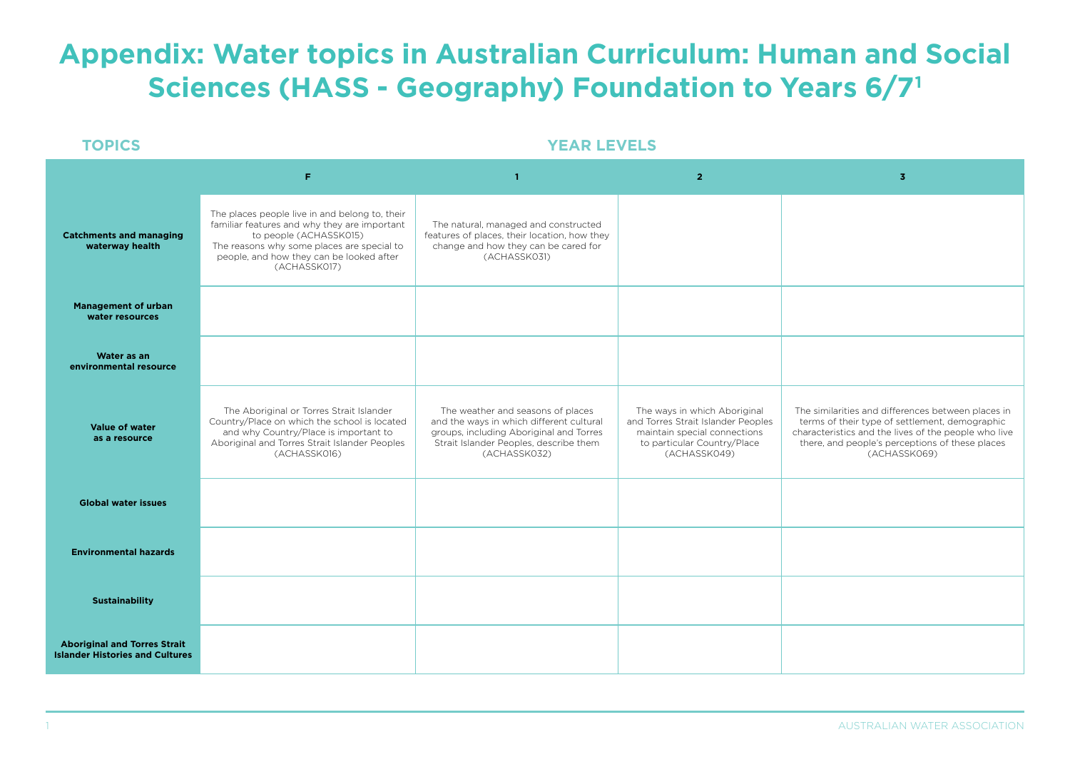## **Appendix: Water topics in Australian Curriculum: Human and Social Sciences (HASS - Geography) Foundation to Years 6/71**

#### **TOPICS YEAR LEVELS**

|                                                                               | F                                                                                                                                                                                                                                  | -1                                                                                                                                                                                 | $\overline{2}$                                                                                                                                    | $\overline{3}$                                                                                                                                                                                                                  |
|-------------------------------------------------------------------------------|------------------------------------------------------------------------------------------------------------------------------------------------------------------------------------------------------------------------------------|------------------------------------------------------------------------------------------------------------------------------------------------------------------------------------|---------------------------------------------------------------------------------------------------------------------------------------------------|---------------------------------------------------------------------------------------------------------------------------------------------------------------------------------------------------------------------------------|
| <b>Catchments and managing</b><br>waterway health                             | The places people live in and belong to, their<br>familiar features and why they are important<br>to people (ACHASSK015)<br>The reasons why some places are special to<br>people, and how they can be looked after<br>(ACHASSK017) | The natural, managed and constructed<br>features of places, their location, how they<br>change and how they can be cared for<br>(ACHASSK031)                                       |                                                                                                                                                   |                                                                                                                                                                                                                                 |
| <b>Management of urban</b><br>water resources                                 |                                                                                                                                                                                                                                    |                                                                                                                                                                                    |                                                                                                                                                   |                                                                                                                                                                                                                                 |
| Water as an<br>environmental resource                                         |                                                                                                                                                                                                                                    |                                                                                                                                                                                    |                                                                                                                                                   |                                                                                                                                                                                                                                 |
| <b>Value of water</b><br>as a resource                                        | The Aboriginal or Torres Strait Islander<br>Country/Place on which the school is located<br>and why Country/Place is important to<br>Aboriginal and Torres Strait Islander Peoples<br>(ACHASSK016)                                 | The weather and seasons of places<br>and the ways in which different cultural<br>groups, including Aboriginal and Torres<br>Strait Islander Peoples, describe them<br>(ACHASSK032) | The ways in which Aboriginal<br>and Torres Strait Islander Peoples<br>maintain special connections<br>to particular Country/Place<br>(ACHASSK049) | The similarities and differences between places in<br>terms of their type of settlement, demographic<br>characteristics and the lives of the people who live<br>there, and people's perceptions of these places<br>(ACHASSK069) |
| <b>Global water issues</b>                                                    |                                                                                                                                                                                                                                    |                                                                                                                                                                                    |                                                                                                                                                   |                                                                                                                                                                                                                                 |
| <b>Environmental hazards</b>                                                  |                                                                                                                                                                                                                                    |                                                                                                                                                                                    |                                                                                                                                                   |                                                                                                                                                                                                                                 |
| <b>Sustainability</b>                                                         |                                                                                                                                                                                                                                    |                                                                                                                                                                                    |                                                                                                                                                   |                                                                                                                                                                                                                                 |
| <b>Aboriginal and Torres Strait</b><br><b>Islander Histories and Cultures</b> |                                                                                                                                                                                                                                    |                                                                                                                                                                                    |                                                                                                                                                   |                                                                                                                                                                                                                                 |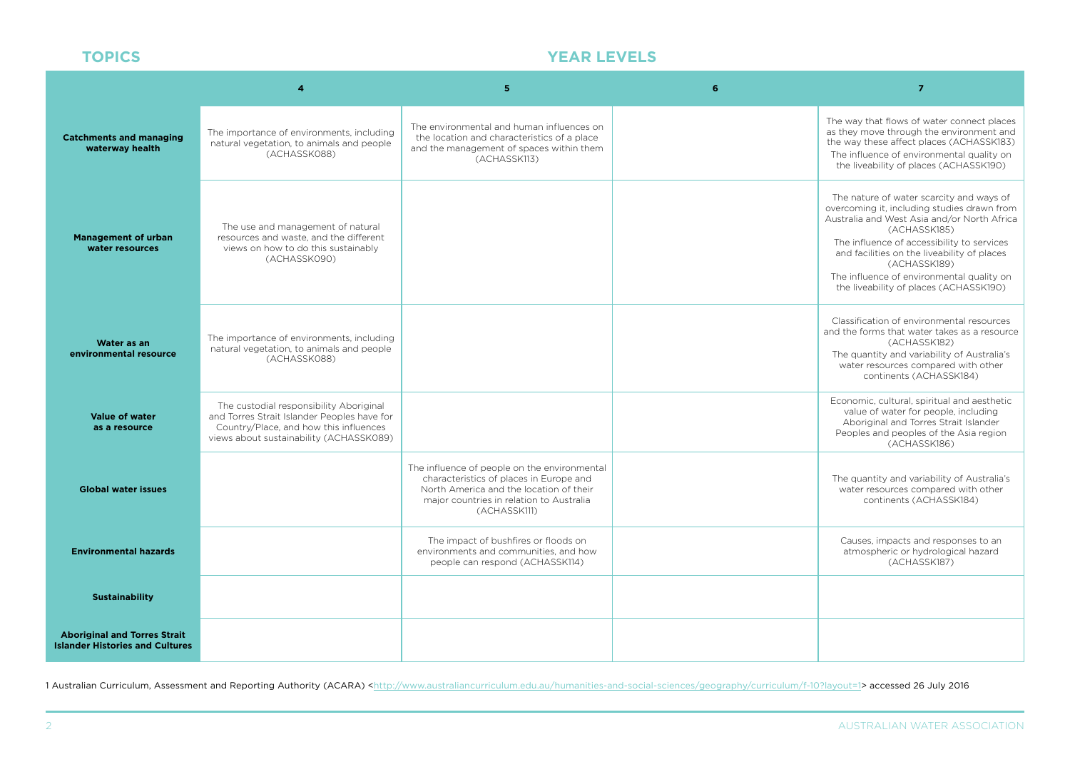### **TOPICS YEAR LEVELS**

|                                                                               |                                                                                                                                                                             | 5                                                                                                                                                                                              | 6 | $\overline{7}$                                                                                                                                                                                                                                                                                                                                             |
|-------------------------------------------------------------------------------|-----------------------------------------------------------------------------------------------------------------------------------------------------------------------------|------------------------------------------------------------------------------------------------------------------------------------------------------------------------------------------------|---|------------------------------------------------------------------------------------------------------------------------------------------------------------------------------------------------------------------------------------------------------------------------------------------------------------------------------------------------------------|
| <b>Catchments and managing</b><br>waterway health                             | The importance of environments, including<br>natural vegetation, to animals and people<br>(ACHASSK088)                                                                      | The environmental and human influences on<br>the location and characteristics of a place<br>and the management of spaces within them<br>(ACHASSK113)                                           |   | The way that flows of water connect places<br>as they move through the environment and<br>the way these affect places (ACHASSK183)<br>The influence of environmental quality on<br>the liveability of places (ACHASSK190)                                                                                                                                  |
| <b>Management of urban</b><br>water resources                                 | The use and management of natural<br>resources and waste, and the different<br>views on how to do this sustainably<br>(ACHASSK090)                                          |                                                                                                                                                                                                |   | The nature of water scarcity and ways of<br>overcoming it, including studies drawn from<br>Australia and West Asia and/or North Africa<br>(ACHASSK185)<br>The influence of accessibility to services<br>and facilities on the liveability of places<br>(ACHASSK189)<br>The influence of environmental quality on<br>the liveability of places (ACHASSK190) |
| Water as an<br>environmental resource                                         | The importance of environments, including<br>natural vegetation, to animals and people<br>(ACHASSK088)                                                                      |                                                                                                                                                                                                |   | Classification of environmental resources<br>and the forms that water takes as a resource<br>(ACHASSK182)<br>The quantity and variability of Australia's<br>water resources compared with other<br>continents (ACHASSK184)                                                                                                                                 |
| <b>Value of water</b><br>as a resource                                        | The custodial responsibility Aboriginal<br>and Torres Strait Islander Peoples have for<br>Country/Place, and how this influences<br>views about sustainability (ACHASSK089) |                                                                                                                                                                                                |   | Economic, cultural, spiritual and aesthetic<br>value of water for people, including<br>Aboriginal and Torres Strait Islander<br>Peoples and peoples of the Asia region<br>(ACHASSK186)                                                                                                                                                                     |
| <b>Global water issues</b>                                                    |                                                                                                                                                                             | The influence of people on the environmental<br>characteristics of places in Europe and<br>North America and the location of their<br>major countries in relation to Australia<br>(ACHASSK111) |   | The quantity and variability of Australia's<br>water resources compared with other<br>continents (ACHASSK184)                                                                                                                                                                                                                                              |
| <b>Environmental hazards</b>                                                  |                                                                                                                                                                             | The impact of bushfires or floods on<br>environments and communities, and how<br>people can respond (ACHASSK114)                                                                               |   | Causes, impacts and responses to an<br>atmospheric or hydrological hazard<br>(ACHASSK187)                                                                                                                                                                                                                                                                  |
| <b>Sustainability</b>                                                         |                                                                                                                                                                             |                                                                                                                                                                                                |   |                                                                                                                                                                                                                                                                                                                                                            |
| <b>Aboriginal and Torres Strait</b><br><b>Islander Histories and Cultures</b> |                                                                                                                                                                             |                                                                                                                                                                                                |   |                                                                                                                                                                                                                                                                                                                                                            |

1 Australian Curriculum, Assessment and Reporting Authority (ACARA) <[http://www.australiancurriculum.edu.au/humanities-and-social-sciences/geography/curriculum/f-10?layout=1>](http://www.australiancurriculum.edu.au/humanities-and-social-sciences/geography/curriculum/f-10?layout=1) accessed 26 July 2016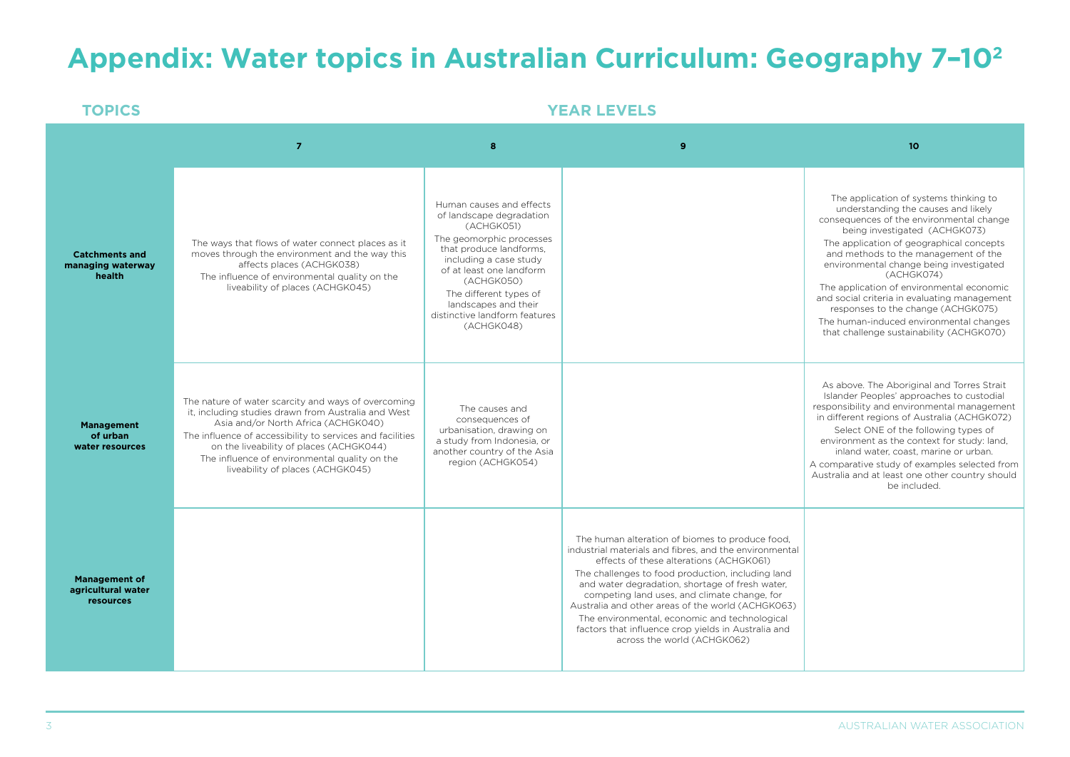# **Appendix: Water topics in Australian Curriculum: Geography 7–102**

| <b>TOPICS</b>                                           | <b>YEAR LEVELS</b>                                                                                                                                                                                                                                                                                                                             |                                                                                                                                                                                                                                                                                                |                                                                                                                                                                                                                                                                                                                                                                                                                                                                                                          |                                                                                                                                                                                                                                                                                                                                                                                                                                                                                                                                   |  |
|---------------------------------------------------------|------------------------------------------------------------------------------------------------------------------------------------------------------------------------------------------------------------------------------------------------------------------------------------------------------------------------------------------------|------------------------------------------------------------------------------------------------------------------------------------------------------------------------------------------------------------------------------------------------------------------------------------------------|----------------------------------------------------------------------------------------------------------------------------------------------------------------------------------------------------------------------------------------------------------------------------------------------------------------------------------------------------------------------------------------------------------------------------------------------------------------------------------------------------------|-----------------------------------------------------------------------------------------------------------------------------------------------------------------------------------------------------------------------------------------------------------------------------------------------------------------------------------------------------------------------------------------------------------------------------------------------------------------------------------------------------------------------------------|--|
|                                                         | $\overline{7}$                                                                                                                                                                                                                                                                                                                                 | 8                                                                                                                                                                                                                                                                                              | 9                                                                                                                                                                                                                                                                                                                                                                                                                                                                                                        | 10                                                                                                                                                                                                                                                                                                                                                                                                                                                                                                                                |  |
| <b>Catchments and</b><br>managing waterway<br>health    | The ways that flows of water connect places as it<br>moves through the environment and the way this<br>affects places (ACHGK038)<br>The influence of environmental quality on the<br>liveability of places (ACHGK045)                                                                                                                          | Human causes and effects<br>of landscape degradation<br>(ACHGK051)<br>The geomorphic processes<br>that produce landforms,<br>including a case study<br>of at least one landform<br>(ACHGK050)<br>The different types of<br>landscapes and their<br>distinctive landform features<br>(ACHGK048) |                                                                                                                                                                                                                                                                                                                                                                                                                                                                                                          | The application of systems thinking to<br>understanding the causes and likely<br>consequences of the environmental change<br>being investigated (ACHGK073)<br>The application of geographical concepts<br>and methods to the management of the<br>environmental change being investigated<br>(ACHGK074)<br>The application of environmental economic<br>and social criteria in evaluating management<br>responses to the change (ACHGK075)<br>The human-induced environmental changes<br>that challenge sustainability (ACHGK070) |  |
| <b>Management</b><br>of urban<br>water resources        | The nature of water scarcity and ways of overcoming<br>it, including studies drawn from Australia and West<br>Asia and/or North Africa (ACHGK040)<br>The influence of accessibility to services and facilities<br>on the liveability of places (ACHGK044)<br>The influence of environmental quality on the<br>liveability of places (ACHGK045) | The causes and<br>consequences of<br>urbanisation, drawing on<br>a study from Indonesia, or<br>another country of the Asia<br>region (ACHGK054)                                                                                                                                                |                                                                                                                                                                                                                                                                                                                                                                                                                                                                                                          | As above. The Aboriginal and Torres Strait<br>Islander Peoples' approaches to custodial<br>responsibility and environmental management<br>in different regions of Australia (ACHGK072)<br>Select ONE of the following types of<br>environment as the context for study: land,<br>inland water, coast, marine or urban.<br>A comparative study of examples selected from<br>Australia and at least one other country should<br>be included.                                                                                        |  |
| <b>Management of</b><br>agricultural water<br>resources |                                                                                                                                                                                                                                                                                                                                                |                                                                                                                                                                                                                                                                                                | The human alteration of biomes to produce food,<br>industrial materials and fibres, and the environmental<br>effects of these alterations (ACHGK061)<br>The challenges to food production, including land<br>and water degradation, shortage of fresh water,<br>competing land uses, and climate change, for<br>Australia and other areas of the world (ACHGK063)<br>The environmental, economic and technological<br>factors that influence crop yields in Australia and<br>across the world (ACHGK062) |                                                                                                                                                                                                                                                                                                                                                                                                                                                                                                                                   |  |